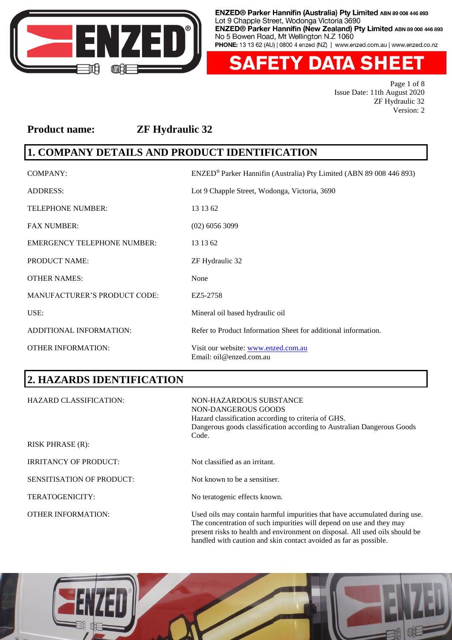

**ETY DATA SH** F ен

> Page 1 of 8 Issue Date: 11th August 2020 ZF Hydraulic 32 Version: 2

## **Product name: ZF Hydraulic 32**

# **1. COMPANY DETAILS AND PRODUCT IDENTIFICATION**

| <b>COMPANY:</b>                     | ENZED® Parker Hannifin (Australia) Pty Limited (ABN 89 008 446 893) |
|-------------------------------------|---------------------------------------------------------------------|
| <b>ADDRESS:</b>                     | Lot 9 Chapple Street, Wodonga, Victoria, 3690                       |
| <b>TELEPHONE NUMBER:</b>            | 13 13 62                                                            |
| <b>FAX NUMBER:</b>                  | $(02)$ 6056 3099                                                    |
| <b>EMERGENCY TELEPHONE NUMBER:</b>  | 13 13 62                                                            |
| <b>PRODUCT NAME:</b>                | ZF Hydraulic 32                                                     |
| <b>OTHER NAMES:</b>                 | None                                                                |
| <b>MANUFACTURER'S PRODUCT CODE:</b> | EZ5-2758                                                            |
| USE:                                | Mineral oil based hydraulic oil                                     |
| ADDITIONAL INFORMATION:             | Refer to Product Information Sheet for additional information.      |
| <b>OTHER INFORMATION:</b>           | Visit our website: www.enzed.com.au<br>Email: oil@enzed.com.au      |

## **2. HAZARDS IDENTIFICATION**

| <b>HAZARD CLASSIFICATION:</b> | NON-HAZARDOUS SUBSTANCE<br>NON-DANGEROUS GOODS<br>Hazard classification according to criteria of GHS.<br>Dangerous goods classification according to Australian Dangerous Goods<br>Code.                                           |
|-------------------------------|------------------------------------------------------------------------------------------------------------------------------------------------------------------------------------------------------------------------------------|
| <b>RISK PHRASE (R):</b>       |                                                                                                                                                                                                                                    |
| <b>IRRITANCY OF PRODUCT:</b>  | Not classified as an irritant.                                                                                                                                                                                                     |
| SENSITISATION OF PRODUCT:     | Not known to be a sensitiser.                                                                                                                                                                                                      |
| TERATOGENICITY:               | No teratogenic effects known.                                                                                                                                                                                                      |
| <b>OTHER INFORMATION:</b>     | Used oils may contain harmful impurities that have accumulated during use.<br>The concentration of such impurities will depend on use and they may<br>present risks to health and environment on disposal. All used oils should be |



handled with caution and skin contact avoided as far as possible.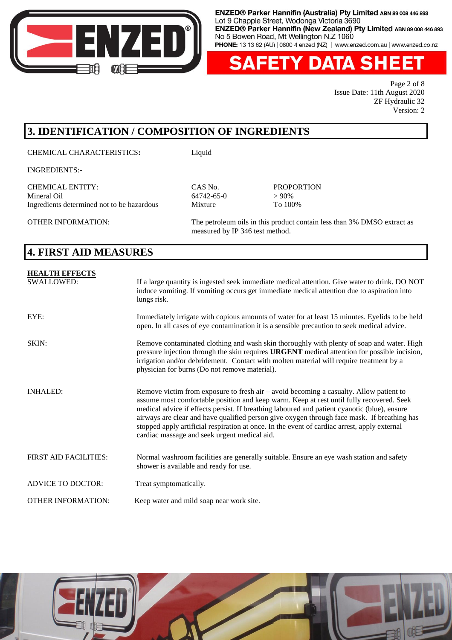

'Y DATA SH Ен

> Page 2 of 8 Issue Date: 11th August 2020 ZF Hydraulic 32 Version: 2

# **3. IDENTIFICATION / COMPOSITION OF INGREDIENTS**

CHEMICAL CHARACTERISTICS**:** Liquid

INGREDIENTS:-

CHEMICAL ENTITY: CAS No. PROPORTION Ingredients determined not to be hazardous Mixture To 100%

64742-65-0

OTHER INFORMATION: The petroleum oils in this product contain less than 3% DMSO extract as measured by IP 346 test method.

## **4. FIRST AID MEASURES**

| <b>HEALTH EFFECTS</b><br><b>SWALLOWED:</b> | If a large quantity is ingested seek immediate medical attention. Give water to drink. DO NOT<br>induce vomiting. If vomiting occurs get immediate medical attention due to aspiration into<br>lungs risk.                                                                                                                                                                                                                                                                                                                                |
|--------------------------------------------|-------------------------------------------------------------------------------------------------------------------------------------------------------------------------------------------------------------------------------------------------------------------------------------------------------------------------------------------------------------------------------------------------------------------------------------------------------------------------------------------------------------------------------------------|
| EYE:                                       | Immediately irrigate with copious amounts of water for at least 15 minutes. Eyelids to be held<br>open. In all cases of eye contamination it is a sensible precaution to seek medical advice.                                                                                                                                                                                                                                                                                                                                             |
| SKIN:                                      | Remove contaminated clothing and wash skin thoroughly with plenty of soap and water. High<br>pressure injection through the skin requires URGENT medical attention for possible incision,<br>irrigation and/or debridement. Contact with molten material will require treatment by a<br>physician for burns (Do not remove material).                                                                                                                                                                                                     |
| <b>INHALED:</b>                            | Remove victim from exposure to fresh air $-\alpha$ avoid becoming a casualty. Allow patient to<br>assume most comfortable position and keep warm. Keep at rest until fully recovered. Seek<br>medical advice if effects persist. If breathing laboured and patient cyanotic (blue), ensure<br>airways are clear and have qualified person give oxygen through face mask. If breathing has<br>stopped apply artificial respiration at once. In the event of cardiac arrest, apply external<br>cardiac massage and seek urgent medical aid. |
| <b>FIRST AID FACILITIES:</b>               | Normal washroom facilities are generally suitable. Ensure an eye wash station and safety<br>shower is available and ready for use.                                                                                                                                                                                                                                                                                                                                                                                                        |
| <b>ADVICE TO DOCTOR:</b>                   | Treat symptomatically.                                                                                                                                                                                                                                                                                                                                                                                                                                                                                                                    |
| <b>OTHER INFORMATION:</b>                  | Keep water and mild soap near work site.                                                                                                                                                                                                                                                                                                                                                                                                                                                                                                  |

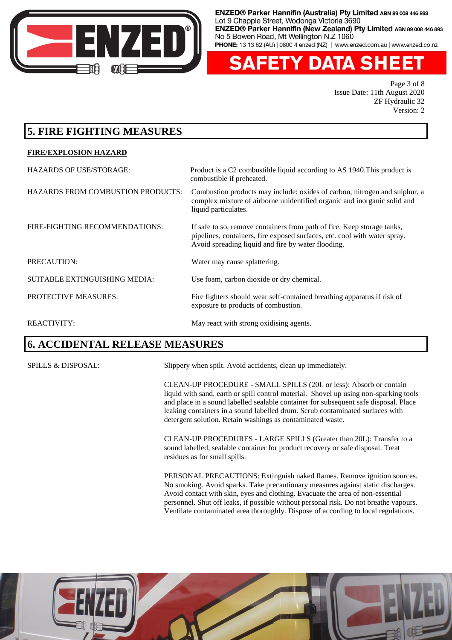

**FETY DATA SHEET** 

Page 3 of 8 Issue Date: 11th August 2020 ZF Hydraulic 32 Version: 2

# **5. FIRE FIGHTING MEASURES**

#### **FIRE/EXPLOSION HAZARD**

| <b>HAZARDS OF USE/STORAGE:</b>       | Product is a C2 combustible liquid according to AS 1940. This product is<br>combustible if preheated.                                                                                                      |
|--------------------------------------|------------------------------------------------------------------------------------------------------------------------------------------------------------------------------------------------------------|
| HAZARDS FROM COMBUSTION PRODUCTS:    | Combustion products may include: oxides of carbon, nitrogen and sulphur, a<br>complex mixture of airborne unidentified organic and inorganic solid and<br>liquid particulates.                             |
| FIRE-FIGHTING RECOMMENDATIONS:       | If safe to so, remove containers from path of fire. Keep storage tanks,<br>pipelines, containers, fire exposed surfaces, etc. cool with water spray.<br>Avoid spreading liquid and fire by water flooding. |
| PRECAUTION:                          | Water may cause splattering.                                                                                                                                                                               |
| <b>SUITABLE EXTINGUISHING MEDIA:</b> | Use foam, carbon dioxide or dry chemical.                                                                                                                                                                  |
| <b>PROTECTIVE MEASURES:</b>          | Fire fighters should wear self-contained breathing apparatus if risk of<br>exposure to products of combustion.                                                                                             |
| <b>REACTIVITY:</b>                   | May react with strong oxidising agents.                                                                                                                                                                    |

## **6. ACCIDENTAL RELEASE MEASURES**

SPILLS & DISPOSAL: Slippery when spilt. Avoid accidents, clean up immediately.

CLEAN-UP PROCEDURE - SMALL SPILLS (20L or less): Absorb or contain liquid with sand, earth or spill control material. Shovel up using non-sparking tools and place in a sound labelled sealable container for subsequent safe disposal. Place leaking containers in a sound labelled drum. Scrub contaminated surfaces with detergent solution. Retain washings as contaminated waste.

CLEAN-UP PROCEDURES - LARGE SPILLS (Greater than 20L): Transfer to a sound labelled, sealable container for product recovery or safe disposal. Treat residues as for small spills.

PERSONAL PRECAUTIONS: Extinguish naked flames. Remove ignition sources. No smoking. Avoid sparks. Take precautionary measures against static discharges. Avoid contact with skin, eyes and clothing. Evacuate the area of non-essential personnel. Shut off leaks, if possible without personal risk. Do not breathe vapours. Ventilate contaminated area thoroughly. Dispose of according to local regulations.

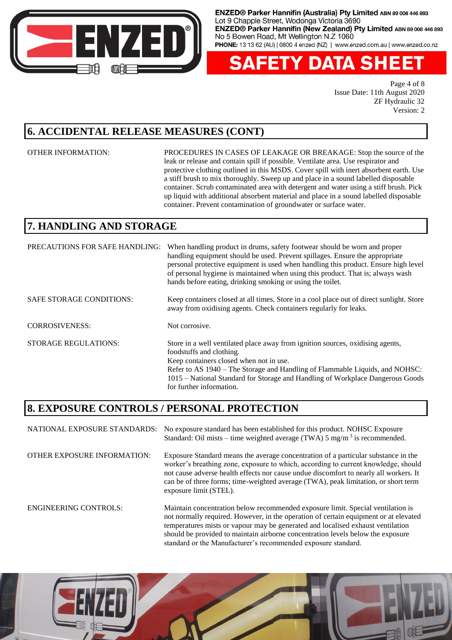

**FETY DATA SHEET** 

Page 4 of 8 Issue Date: 11th August 2020 ZF Hydraulic 32 Version: 2

#### **6. ACCIDENTAL RELEASE MEASURES (CONT)**

OTHER INFORMATION: PROCEDURES IN CASES OF LEAKAGE OR BREAKAGE: Stop the source of the leak or release and contain spill if possible. Ventilate area. Use respirator and protective clothing outlined in this MSDS. Cover spill with inert absorbent earth. Use a stiff brush to mix thoroughly. Sweep up and place in a sound labelled disposable container. Scrub contaminated area with detergent and water using a stiff brush. Pick up liquid with additional absorbent material and place in a sound labelled disposable container. Prevent contamination of groundwater or surface water.

# **7. HANDLING AND STORAGE**

| PRECAUTIONS FOR SAFE HANDLING:  | When handling product in drums, safety footwear should be worn and proper<br>handling equipment should be used. Prevent spillages. Ensure the appropriate<br>personal protective equipment is used when handling this product. Ensure high level<br>of personal hygiene is maintained when using this product. That is, always wash<br>hands before eating, drinking smoking or using the toilet. |
|---------------------------------|---------------------------------------------------------------------------------------------------------------------------------------------------------------------------------------------------------------------------------------------------------------------------------------------------------------------------------------------------------------------------------------------------|
| <b>SAFE STORAGE CONDITIONS:</b> | Keep containers closed at all times. Store in a cool place out of direct sunlight. Store<br>away from oxidising agents. Check containers regularly for leaks.                                                                                                                                                                                                                                     |
| <b>CORROSIVENESS:</b>           | Not corrosive.                                                                                                                                                                                                                                                                                                                                                                                    |
| <b>STORAGE REGULATIONS:</b>     | Store in a well ventilated place away from ignition sources, oxidising agents,<br>foodstuffs and clothing.<br>Keep containers closed when not in use.<br>Refer to AS 1940 – The Storage and Handling of Flammable Liquids, and NOHSC:<br>1015 – National Standard for Storage and Handling of Workplace Dangerous Goods<br>for further information.                                               |

## **8. EXPOSURE CONTROLS / PERSONAL PROTECTION**

| NATIONAL EXPOSURE STANDARDS: | No exposure standard has been established for this product. NOHSC Exposure<br>Standard: Oil mists – time weighted average (TWA) $5 \text{ mg/m}^3$ is recommended.                                                                                                                                                                                                                |
|------------------------------|-----------------------------------------------------------------------------------------------------------------------------------------------------------------------------------------------------------------------------------------------------------------------------------------------------------------------------------------------------------------------------------|
| OTHER EXPOSURE INFORMATION:  | Exposure Standard means the average concentration of a particular substance in the<br>worker's breathing zone, exposure to which, according to current knowledge, should<br>not cause adverse health effects nor cause undue discomfort to nearly all workers. It<br>can be of three forms; time-weighted average (TWA), peak limitation, or short term<br>exposure limit (STEL). |
| <b>ENGINEERING CONTROLS:</b> | Maintain concentration below recommended exposure limit. Special ventilation is<br>not normally required. However, in the operation of certain equipment or at elevated<br>temperatures mists or vapour may be generated and localised exhaust ventilation<br>should be provided to maintain airborne concentration levels below the exposure                                     |



standard or the Manufacturer's recommended exposure standard.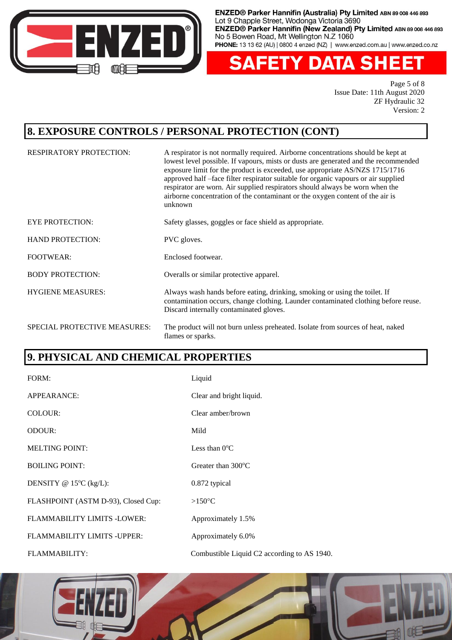

'Y DATA SH Δ 13 S I Е EI

> Page 5 of 8 Issue Date: 11th August 2020 ZF Hydraulic 32 Version: 2

#### **8. EXPOSURE CONTROLS / PERSONAL PROTECTION (CONT)**

| <b>RESPIRATORY PROTECTION:</b> | A respirator is not normally required. Airborne concentrations should be kept at<br>lowest level possible. If vapours, mists or dusts are generated and the recommended<br>exposure limit for the product is exceeded, use appropriate AS/NZS 1715/1716<br>approved half-face filter respirator suitable for organic vapours or air supplied<br>respirator are worn. Air supplied respirators should always be worn when the<br>airborne concentration of the contaminant or the oxygen content of the air is<br>unknown |
|--------------------------------|--------------------------------------------------------------------------------------------------------------------------------------------------------------------------------------------------------------------------------------------------------------------------------------------------------------------------------------------------------------------------------------------------------------------------------------------------------------------------------------------------------------------------|
| <b>EYE PROTECTION:</b>         | Safety glasses, goggles or face shield as appropriate.                                                                                                                                                                                                                                                                                                                                                                                                                                                                   |
| <b>HAND PROTECTION:</b>        | PVC gloves.                                                                                                                                                                                                                                                                                                                                                                                                                                                                                                              |
| <b>FOOTWEAR:</b>               | Enclosed footwear.                                                                                                                                                                                                                                                                                                                                                                                                                                                                                                       |
| <b>BODY PROTECTION:</b>        | Overalls or similar protective apparel.                                                                                                                                                                                                                                                                                                                                                                                                                                                                                  |
| <b>HYGIENE MEASURES:</b>       | Always wash hands before eating, drinking, smoking or using the toilet. If<br>contamination occurs, change clothing. Launder contaminated clothing before reuse.<br>Discard internally contaminated gloves.                                                                                                                                                                                                                                                                                                              |
| SPECIAL PROTECTIVE MEASURES:   | The product will not burn unless preheated. Isolate from sources of heat, naked<br>flames or sparks.                                                                                                                                                                                                                                                                                                                                                                                                                     |

## **9. PHYSICAL AND CHEMICAL PROPERTIES**

| FORM:                               | Liquid                                      |
|-------------------------------------|---------------------------------------------|
| APPEARANCE:                         | Clear and bright liquid.                    |
| COLOUR:                             | Clear amber/brown                           |
| <b>ODOUR:</b>                       | Mild                                        |
| <b>MELTING POINT:</b>               | Less than $0^{\circ}$ C                     |
| <b>BOILING POINT:</b>               | Greater than 300°C                          |
| DENSITY @ $15^{\circ}C$ (kg/L):     | 0.872 typical                               |
| FLASHPOINT (ASTM D-93), Closed Cup: | $>150^{\circ}$ C                            |
| FLAMMABILITY LIMITS -LOWER:         | Approximately 1.5%                          |
| FLAMMABILITY LIMITS - UPPER:        | Approximately 6.0%                          |
| FLAMMABILITY:                       | Combustible Liquid C2 according to AS 1940. |

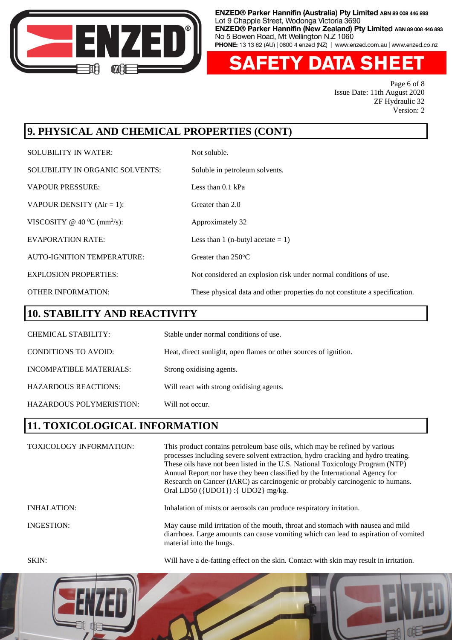

ETY DATA SHE

Page 6 of 8 Issue Date: 11th August 2020 ZF Hydraulic 32 Version: 2

# **9. PHYSICAL AND CHEMICAL PROPERTIES (CONT)**

| <b>SOLUBILITY IN WATER:</b>                | Not soluble.                                                                |
|--------------------------------------------|-----------------------------------------------------------------------------|
| <b>SOLUBILITY IN ORGANIC SOLVENTS:</b>     | Soluble in petroleum solvents.                                              |
| <b>VAPOUR PRESSURE:</b>                    | Less than $0.1$ kPa                                                         |
| VAPOUR DENSITY $(Air = 1)$ :               | Greater than 2.0                                                            |
| VISCOSITY @ 40 $^0C$ (mm <sup>2</sup> /s): | Approximately 32                                                            |
| <b>EVAPORATION RATE:</b>                   | Less than 1 (n-butyl acetate $= 1$ )                                        |
| AUTO-IGNITION TEMPERATURE:                 | Greater than $250^{\circ}$ C                                                |
| <b>EXPLOSION PROPERTIES:</b>               | Not considered an explosion risk under normal conditions of use.            |
| <b>OTHER INFORMATION:</b>                  | These physical data and other properties do not constitute a specification. |

# **10. STABILITY AND REACTIVITY**

| CHEMICAL STABILITY:         | Stable under normal conditions of use.                           |
|-----------------------------|------------------------------------------------------------------|
| <b>CONDITIONS TO AVOID:</b> | Heat, direct sunlight, open flames or other sources of ignition. |
| INCOMPATIBLE MATERIALS:     | Strong oxidising agents.                                         |
| <b>HAZARDOUS REACTIONS:</b> | Will react with strong oxidising agents.                         |
| HAZARDOUS POLYMERISTION:    | Will not occur.                                                  |

# **11. TOXICOLOGICAL INFORMATION**

TOXICOLOGY INFORMATION: This product contains petroleum base oils, which may be refined by various processes including severe solvent extraction, hydro cracking and hydro treating. These oils have not been listed in the U.S. National Toxicology Program (NTP) Annual Report nor have they been classified by the International Agency for Research on Cancer (IARC) as carcinogenic or probably carcinogenic to humans. Oral LD50 ({UDO1}) :{ UDO2} mg/kg. INHALATION: Inhalation of mists or aerosols can produce respiratory irritation. INGESTION: May cause mild irritation of the mouth, throat and stomach with nausea and mild diarrhoea. Large amounts can cause vomiting which can lead to aspiration of vomited material into the lungs.

SKIN: Will have a de-fatting effect on the skin. Contact with skin may result in irritation.

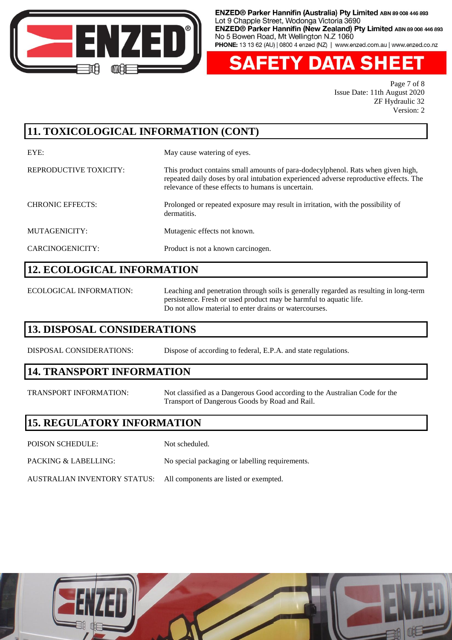

**FETY DATA SHE** 

Page 7 of 8 Issue Date: 11th August 2020 ZF Hydraulic 32 Version: 2

# **11. TOXICOLOGICAL INFORMATION (CONT)**

EYE: May cause watering of eyes.

#### REPRODUCTIVE TOXICITY: This product contains small amounts of para-dodecylphenol. Rats when given high, repeated daily doses by oral intubation experienced adverse reproductive effects. The relevance of these effects to humans is uncertain.

CHRONIC EFFECTS: Prolonged or repeated exposure may result in irritation, with the possibility of dermatitis.

# MUTAGENICITY: Mutagenic effects not known.

CARCINOGENICITY: Product is not a known carcinogen.

# **12. ECOLOGICAL INFORMATION**

ECOLOGICAL INFORMATION: Leaching and penetration through soils is generally regarded as resulting in long-term persistence. Fresh or used product may be harmful to aquatic life. Do not allow material to enter drains or watercourses.

# **13. DISPOSAL CONSIDERATIONS**

DISPOSAL CONSIDERATIONS: Dispose of according to federal, E.P.A. and state regulations.

## **14. TRANSPORT INFORMATION**

TRANSPORT INFORMATION: Not classified as a Dangerous Good according to the Australian Code for the Transport of Dangerous Goods by Road and Rail.

## **15. REGULATORY INFORMATION**

- POISON SCHEDULE: Not scheduled.
- PACKING & LABELLING: No special packaging or labelling requirements.
- AUSTRALIAN INVENTORY STATUS: All components are listed or exempted.